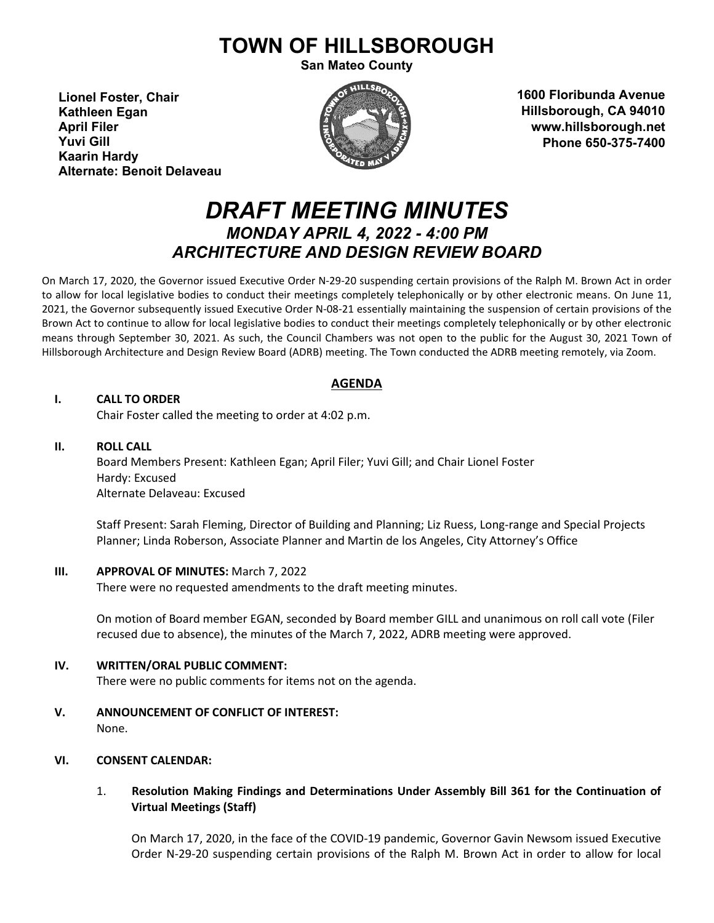# **TOWN OF HILLSBOROUGH**

**San Mateo County**

**Lionel Foster, Chair Kathleen Egan April Filer Yuvi Gill Kaarin Hardy Alternate: Benoit Delaveau**



**1600 Floribunda Avenue Hillsborough, CA 94010 www.hillsborough.net Phone 650-375-7400**

## *DRAFT MEETING MINUTES MONDAY APRIL 4, 2022 - 4:00 PM ARCHITECTURE AND DESIGN REVIEW BOARD*

On March 17, 2020, the Governor issued Executive Order N-29-20 suspending certain provisions of the Ralph M. Brown Act in order to allow for local legislative bodies to conduct their meetings completely telephonically or by other electronic means. On June 11, 2021, the Governor subsequently issued Executive Order N-08-21 essentially maintaining the suspension of certain provisions of the Brown Act to continue to allow for local legislative bodies to conduct their meetings completely telephonically or by other electronic means through September 30, 2021. As such, the Council Chambers was not open to the public for the August 30, 2021 Town of Hillsborough Architecture and Design Review Board (ADRB) meeting. The Town conducted the ADRB meeting remotely, via Zoom.

### **AGENDA**

#### **I. CALL TO ORDER**

Chair Foster called the meeting to order at 4:02 p.m.

#### **II. ROLL CALL**

Board Members Present: Kathleen Egan; April Filer; Yuvi Gill; and Chair Lionel Foster Hardy: Excused Alternate Delaveau: Excused

Staff Present: Sarah Fleming, Director of Building and Planning; Liz Ruess, Long-range and Special Projects Planner; Linda Roberson, Associate Planner and Martin de los Angeles, City Attorney's Office

#### **III. APPROVAL OF MINUTES:** March 7, 2022

There were no requested amendments to the draft meeting minutes.

On motion of Board member EGAN, seconded by Board member GILL and unanimous on roll call vote (Filer recused due to absence), the minutes of the March 7, 2022, ADRB meeting were approved.

#### **IV. WRITTEN/ORAL PUBLIC COMMENT:**

There were no public comments for items not on the agenda.

**V. ANNOUNCEMENT OF CONFLICT OF INTEREST:** None.

#### **VI. CONSENT CALENDAR:**

#### 1. **Resolution Making Findings and Determinations Under Assembly Bill 361 for the Continuation of Virtual Meetings (Staff)**

On March 17, 2020, in the face of the COVID-19 pandemic, Governor Gavin Newsom issued Executive Order N-29-20 suspending certain provisions of the Ralph M. Brown Act in order to allow for local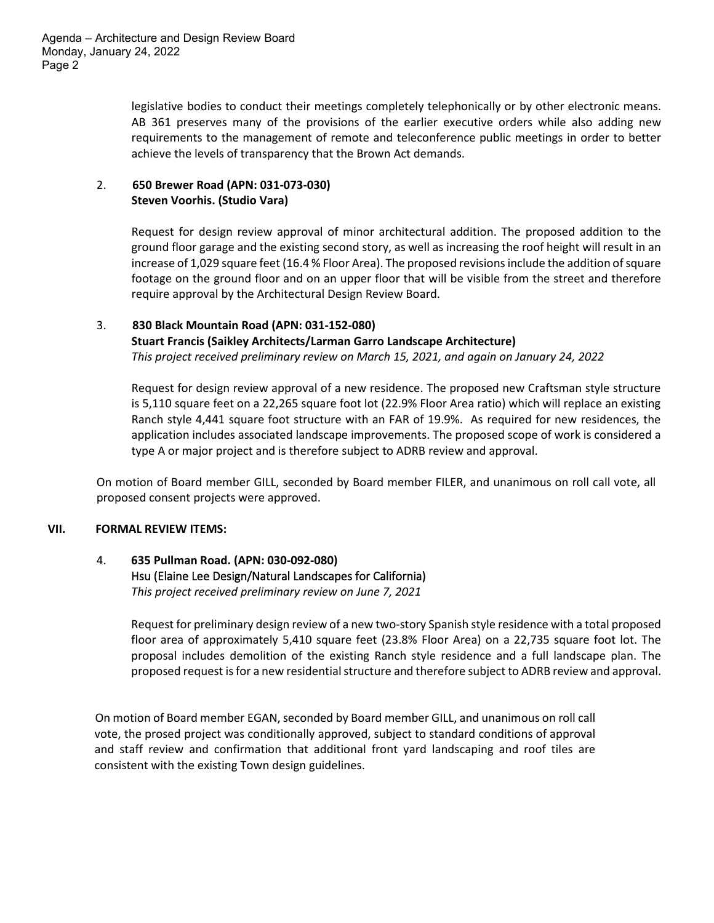Agenda – Architecture and Design Review Board Monday, January 24, 2022 Page 2

> legislative bodies to conduct their meetings completely telephonically or by other electronic means. AB 361 preserves many of the provisions of the earlier executive orders while also adding new requirements to the management of remote and teleconference public meetings in order to better achieve the levels of transparency that the Brown Act demands.

#### 2. **650 Brewer Road (APN: 031-073-030) Steven Voorhis. (Studio Vara)**

Request for design review approval of minor architectural addition. The proposed addition to the ground floor garage and the existing second story, as well as increasing the roof height will result in an increase of 1,029 square feet (16.4 % Floor Area). The proposed revisions include the addition of square footage on the ground floor and on an upper floor that will be visible from the street and therefore require approval by the Architectural Design Review Board.

#### 3. **830 Black Mountain Road (APN: 031-152-080)**

#### **Stuart Francis (Saikley Architects/Larman Garro Landscape Architecture)**

*This project received preliminary review on March 15, 2021, and again on January 24, 2022*

Request for design review approval of a new residence. The proposed new Craftsman style structure is 5,110 square feet on a 22,265 square foot lot (22.9% Floor Area ratio) which will replace an existing Ranch style 4,441 square foot structure with an FAR of 19.9%. As required for new residences, the application includes associated landscape improvements. The proposed scope of work is considered a type A or major project and is therefore subject to ADRB review and approval.

On motion of Board member GILL, seconded by Board member FILER, and unanimous on roll call vote, all proposed consent projects were approved.

#### **VII. FORMAL REVIEW ITEMS:**

#### 4. **635 Pullman Road. (APN: 030-092-080)** Hsu (Elaine Lee Design/Natural Landscapes for California)

*This project received preliminary review on June 7, 2021*

Request for preliminary design review of a new two-story Spanish style residence with a total proposed floor area of approximately 5,410 square feet (23.8% Floor Area) on a 22,735 square foot lot. The proposal includes demolition of the existing Ranch style residence and a full landscape plan. The proposed request is for a new residential structure and therefore subject to ADRB review and approval.

On motion of Board member EGAN, seconded by Board member GILL, and unanimous on roll call vote, the prosed project was conditionally approved, subject to standard conditions of approval and staff review and confirmation that additional front yard landscaping and roof tiles are consistent with the existing Town design guidelines.